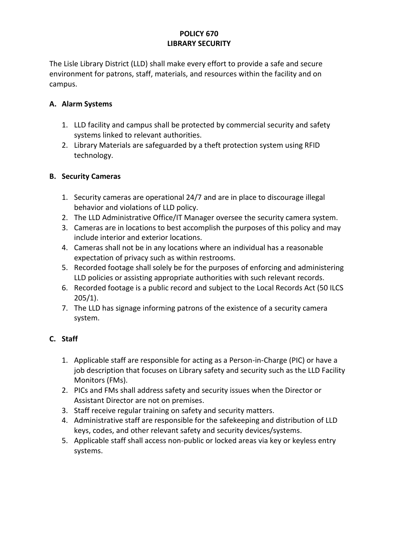#### **POLICY 670 LIBRARY SECURITY**

The Lisle Library District (LLD) shall make every effort to provide a safe and secure environment for patrons, staff, materials, and resources within the facility and on campus.

### **A. Alarm Systems**

- 1. LLD facility and campus shall be protected by commercial security and safety systems linked to relevant authorities.
- 2. Library Materials are safeguarded by a theft protection system using RFID technology.

# **B. Security Cameras**

- 1. Security cameras are operational 24/7 and are in place to discourage illegal behavior and violations of LLD policy.
- 2. The LLD Administrative Office/IT Manager oversee the security camera system.
- 3. Cameras are in locations to best accomplish the purposes of this policy and may include interior and exterior locations.
- 4. Cameras shall not be in any locations where an individual has a reasonable expectation of privacy such as within restrooms.
- 5. Recorded footage shall solely be for the purposes of enforcing and administering LLD policies or assisting appropriate authorities with such relevant records.
- 6. Recorded footage is a public record and subject to the Local Records Act (50 ILCS 205/1).
- 7. The LLD has signage informing patrons of the existence of a security camera system.

# **C. Staff**

- 1. Applicable staff are responsible for acting as a Person-in-Charge (PIC) or have a job description that focuses on Library safety and security such as the LLD Facility Monitors (FMs).
- 2. PICs and FMs shall address safety and security issues when the Director or Assistant Director are not on premises.
- 3. Staff receive regular training on safety and security matters.
- 4. Administrative staff are responsible for the safekeeping and distribution of LLD keys, codes, and other relevant safety and security devices/systems.
- 5. Applicable staff shall access non-public or locked areas via key or keyless entry systems.